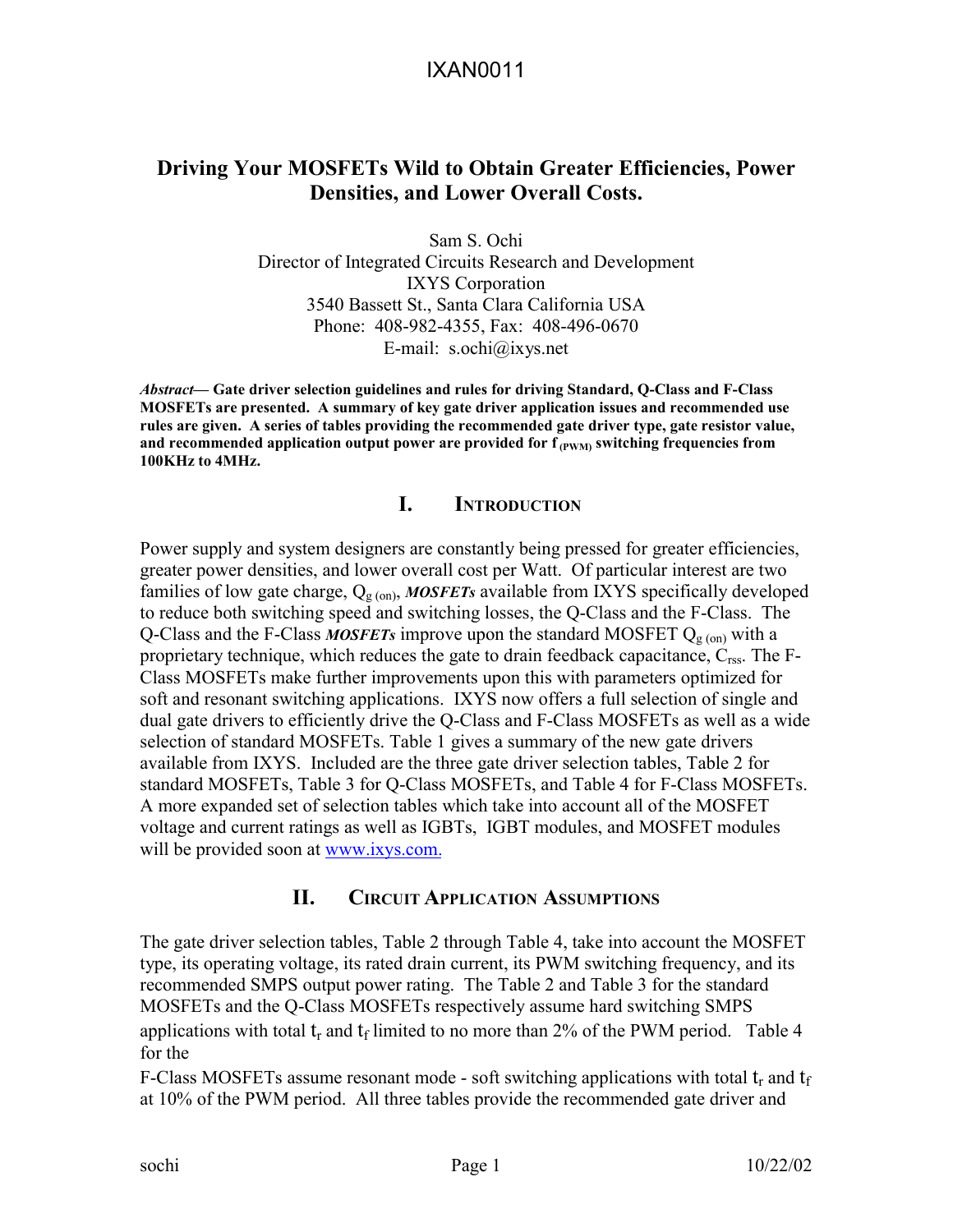### **Driving Your MOSFETs Wild to Obtain Greater Efficiencies, Power Densities, and Lower Overall Costs.**

Sam S. Ochi Director of Integrated Circuits Research and Development IXYS Corporation 3540 Bassett St., Santa Clara California USA Phone: 408-982-4355, Fax: 408-496-0670 E-mail: s.ochi@ixys.net

*Abstract—* **Gate driver selection guidelines and rules for driving Standard, Q-Class and F-Class MOSFETs are presented. A summary of key gate driver application issues and recommended use rules are given. A series of tables providing the recommended gate driver type, gate resistor value,**  and recommended application output power are provided for  $f_{(PWM)}$  switching frequencies from **100KHz to 4MHz.** 

#### **I. INTRODUCTION**

Power supply and system designers are constantly being pressed for greater efficiencies, greater power densities, and lower overall cost per Watt. Of particular interest are two families of low gate charge,  $Q_{\text{g (on)}}$ , **MOSFETs** available from IXYS specifically developed to reduce both switching speed and switching losses, the Q-Class and the F-Class. The Q-Class and the F-Class *MOSFETs* improve upon the standard MOSFET  $Q_{g (on)}$  with a proprietary technique, which reduces the gate to drain feedback capacitance,  $C_{\text{rss}}$ . The F-Class MOSFETs make further improvements upon this with parameters optimized for soft and resonant switching applications. IXYS now offers a full selection of single and dual gate drivers to efficiently drive the Q-Class and F-Class MOSFETs as well as a wide selection of standard MOSFETs. Table 1 gives a summary of the new gate drivers available from IXYS. Included are the three gate driver selection tables, Table 2 for standard MOSFETs, Table 3 for Q-Class MOSFETs, and Table 4 for F-Class MOSFETs. A more expanded set of selection tables which take into account all of the MOSFET voltage and current ratings as well as IGBTs, IGBT modules, and MOSFET modules will be provided soon at www[.ixys.com.](http://www.ixys.net/)

#### **II. CIRCUIT APPLICATION ASSUMPTIONS**

The gate driver selection tables, Table 2 through Table 4, take into account the MOSFET type, its operating voltage, its rated drain current, its PWM switching frequency, and its recommended SMPS output power rating. The Table 2 and Table 3 for the standard MOSFETs and the Q-Class MOSFETs respectively assume hard switching SMPS applications with total  $t_r$  and  $t_f$  limited to no more than 2% of the PWM period. Table 4 for the

F-Class MOSFETs assume resonant mode - soft switching applications with total  $t_r$  and  $t_f$ at 10% of the PWM period. All three tables provide the recommended gate driver and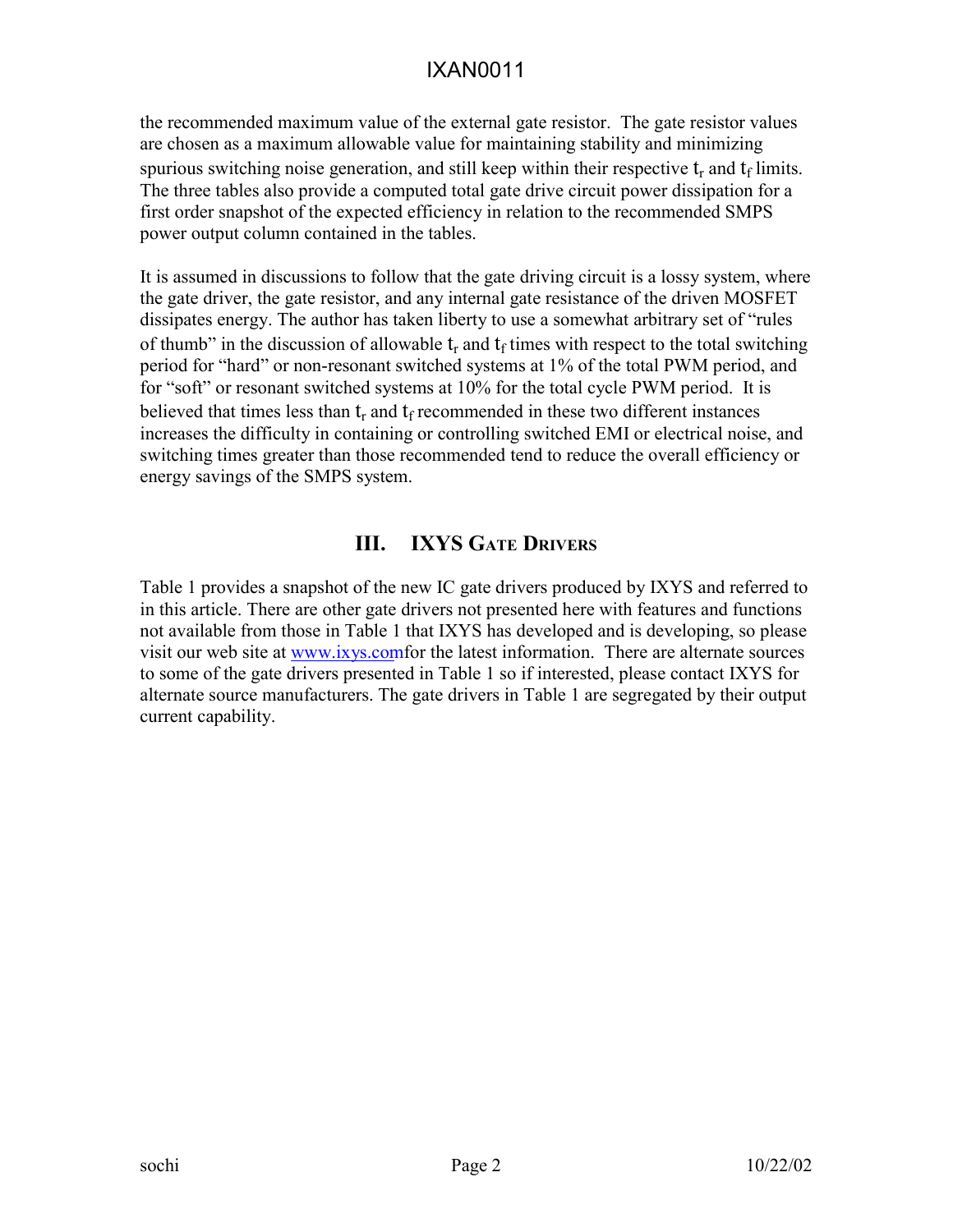the recommended maximum value of the external gate resistor. The gate resistor values are chosen as a maximum allowable value for maintaining stability and minimizing spurious switching noise generation, and still keep within their respective  $t_r$  and  $t_f$  limits. The three tables also provide a computed total gate drive circuit power dissipation for a first order snapshot of the expected efficiency in relation to the recommended SMPS power output column contained in the tables.

It is assumed in discussions to follow that the gate driving circuit is a lossy system, where the gate driver, the gate resistor, and any internal gate resistance of the driven MOSFET dissipates energy. The author has taken liberty to use a somewhat arbitrary set of "rules of thumb" in the discussion of allowable  $t_r$  and  $t_f$  times with respect to the total switching period for "hard" or non-resonant switched systems at 1% of the total PWM period, and for "soft" or resonant switched systems at 10% for the total cycle PWM period. It is believed that times less than  $t_r$  and  $t_f$  recommended in these two different instances increases the difficulty in containing or controlling switched EMI or electrical noise, and switching times greater than those recommended tend to reduce the overall efficiency or energy savings of the SMPS system.

## **III. IXYS GATE DRIVERS**

Table 1 provides a snapshot of the new IC gate drivers produced by IXYS and referred to in this article. There are other gate drivers not presented here with features and functions not available from those in Table 1 that IXYS has developed and is developing, so please visit our web site at [www.ixys.](http://www.ixys.net/)comfor the latest information. There are alternate sources to some of the gate drivers presented in Table 1 so if interested, please contact IXYS for alternate source manufacturers. The gate drivers in Table 1 are segregated by their output current capability.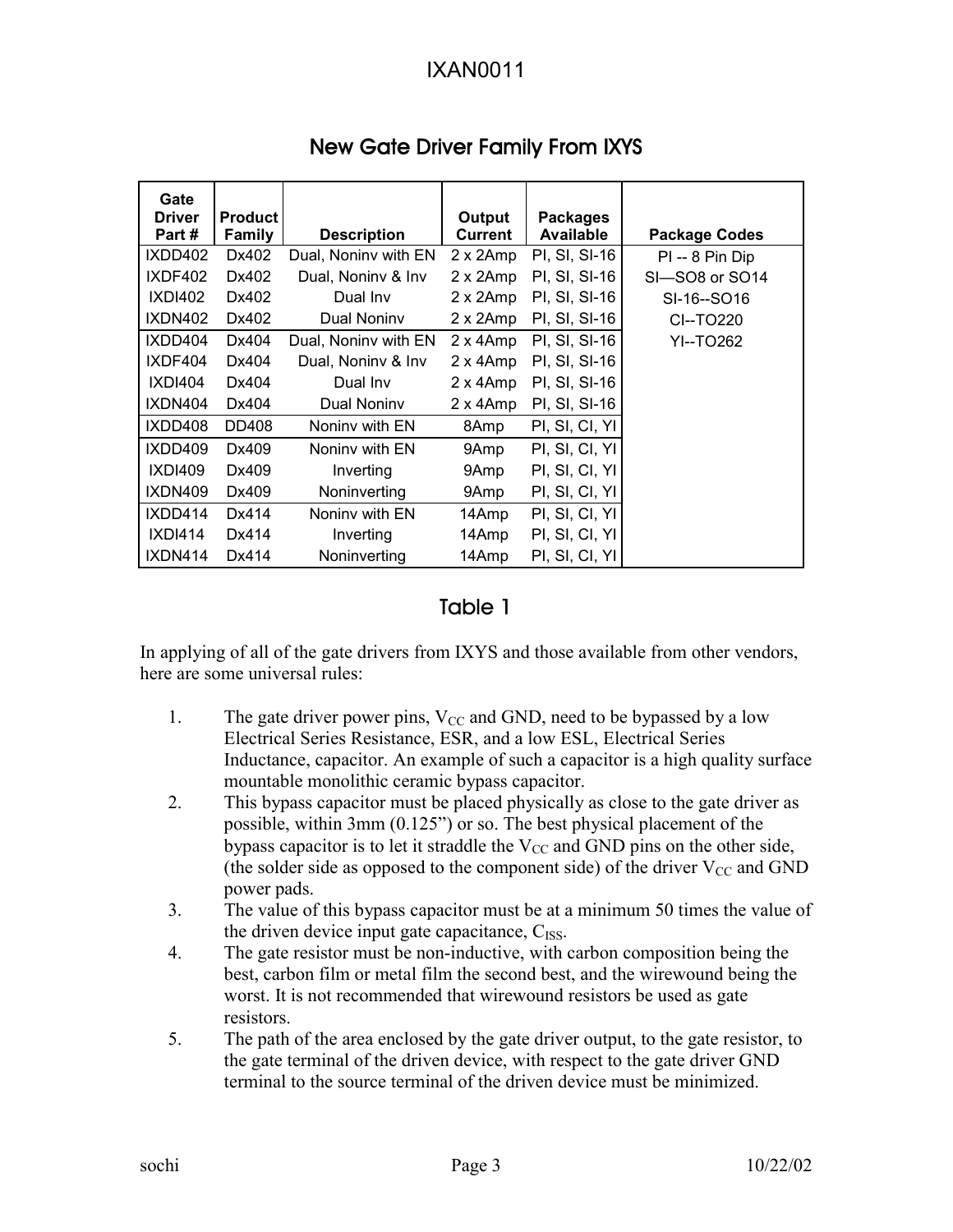| Gate<br><b>Driver</b> | <b>Product</b> |                      | Output           | <b>Packages</b> |                      |
|-----------------------|----------------|----------------------|------------------|-----------------|----------------------|
| Part #                | <b>Family</b>  | <b>Description</b>   | <b>Current</b>   | Available       | <b>Package Codes</b> |
| IXDD402               | Dx402          | Dual, Noniny with EN | 2 x 2Amp         | PI, SI, SI-16   | $PI - 8 P$ in Dip    |
| IXDF402               | Dx402          | Dual, Noniny & Inv   | 2 x 2Amp         | PI, SI, SI-16   | SI-SO8 or SO14       |
| <b>IXDI402</b>        | Dx402          | Dual Inv             | 2 x 2Amp         | PI, SI, SI-16   | SI-16--SO16          |
| <b>IXDN402</b>        | Dx402          | Dual Noniny          | 2 x 2Amp         | PI, SI, SI-16   | CI--TO220            |
| IXDD404               | Dx404          | Dual, Noniny with EN | $2 \times 4$ Amp | PI, SI, SI-16   | YI--TO262            |
| IXDF404               | Dx404          | Dual, Noniny & Inv   | $2 \times 4$ Amp | PI, SI, SI-16   |                      |
| <b>IXDI404</b>        | Dx404          | Dual Inv             | $2 \times 4$ Amp | PI, SI, SI-16   |                      |
| IXDN404               | Dx404          | Dual Noniny          | 2 x 4Amp         | PI, SI, SI-16   |                      |
| IXDD408               | DD408          | Noniny with EN       | 8Amp             | PI, SI, CI, YI  |                      |
| IXDD409               | Dx409          | Noniny with EN       | 9Amp             | PI, SI, CI, YI  |                      |
| <b>IXDI409</b>        | Dx409          | Inverting            | 9Amp             | PI, SI, CI, YII |                      |
| IXDN409               | Dx409          | Noninverting         | 9Amp             | PI, SI, CI, YI  |                      |
| IXDD414               | Dx414          | Noniny with EN       | 14Amp            | PI, SI, CI, YI  |                      |
| <b>IXDI414</b>        | Dx414          | Inverting            | 14Amp            | PI, SI, CI, YI  |                      |
| IXDN414               | Dx414          | Noninverting         | 14Amp            | PI, SI, CI, YII |                      |

# New Gate Driver Family From IXYS

### Table 1

In applying of all of the gate drivers from IXYS and those available from other vendors, here are some universal rules:

- 1. The gate driver power pins,  $V_{CC}$  and GND, need to be bypassed by a low Electrical Series Resistance, ESR, and a low ESL, Electrical Series Inductance, capacitor. An example of such a capacitor is a high quality surface mountable monolithic ceramic bypass capacitor.
- 2. This bypass capacitor must be placed physically as close to the gate driver as possible, within 3mm (0.125") or so. The best physical placement of the bypass capacitor is to let it straddle the  $V_{CC}$  and GND pins on the other side, (the solder side as opposed to the component side) of the driver  $V_{CC}$  and GND power pads.
- 3. The value of this bypass capacitor must be at a minimum 50 times the value of the driven device input gate capacitance,  $C_{ISS}$ .
- 4. The gate resistor must be non-inductive, with carbon composition being the best, carbon film or metal film the second best, and the wirewound being the worst. It is not recommended that wirewound resistors be used as gate resistors.
- 5. The path of the area enclosed by the gate driver output, to the gate resistor, to the gate terminal of the driven device, with respect to the gate driver GND terminal to the source terminal of the driven device must be minimized.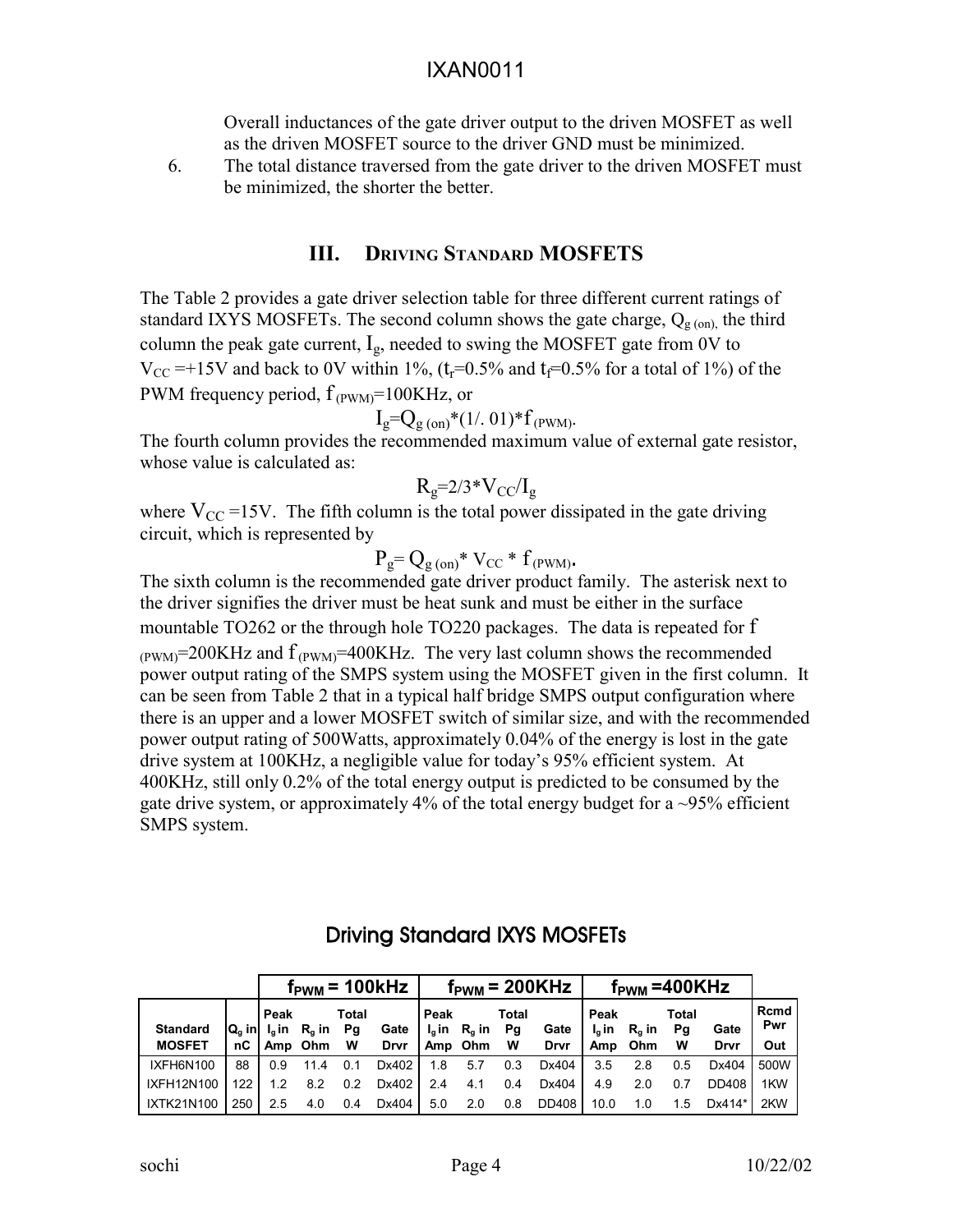Overall inductances of the gate driver output to the driven MOSFET as well as the driven MOSFET source to the driver GND must be minimized.

6. The total distance traversed from the gate driver to the driven MOSFET must be minimized, the shorter the better.

#### **III. DRIVING STANDARD MOSFETS**

The Table 2 provides a gate driver selection table for three different current ratings of standard IXYS MOSFETs. The second column shows the gate charge,  $Q_{g (on)}$  the third column the peak gate current,  $I_g$ , needed to swing the MOSFET gate from 0V to  $V_{\text{CC}}$  =+15V and back to 0V within 1%, (t<sub>r</sub>=0.5% and t<sub>f</sub>=0.5% for a total of 1%) of the PWM frequency period,  $f_{(PWM)} = 100KHz$ , or

$$
I_g = Q_{g\,(on)} * (1/.01) * f_{(PWM)}.
$$

The fourth column provides the recommended maximum value of external gate resistor, whose value is calculated as:

$$
R_g = 2/3 * V_{CC}/I_g
$$

where  $V_{CC}$  =15V. The fifth column is the total power dissipated in the gate driving circuit, which is represented by

$$
P_g = Q_{g \text{ (on)}} * V_{CC} * f_{(PWM)}
$$

The sixth column is the recommended gate driver product family. The asterisk next to the driver signifies the driver must be heat sunk and must be either in the surface mountable TO262 or the through hole TO220 packages. The data is repeated for f  $_{\text{(PWM)}}=200\text{KHz}$  and  $\text{f}_{\text{(PWM)}}=400\text{KHz}$ . The very last column shows the recommended power output rating of the SMPS system using the MOSFET given in the first column. It can be seen from Table 2 that in a typical half bridge SMPS output configuration where there is an upper and a lower MOSFET switch of similar size, and with the recommended power output rating of 500Watts, approximately 0.04% of the energy is lost in the gate drive system at 100KHz, a negligible value for today's 95% efficient system. At 400KHz, still only 0.2% of the total energy output is predicted to be consumed by the gate drive system, or approximately 4% of the total energy budget for a  $\sim$ 95% efficient SMPS system.

|                 |                                |      |                                   |                    | $f_{\text{PWM}}$ = 100kHz | $f_{\text{PWM}}$ = 200KHz |                 |                    |       | $f_{\text{PWM}} = 400K$ Hz |                 |                    |        |             |
|-----------------|--------------------------------|------|-----------------------------------|--------------------|---------------------------|---------------------------|-----------------|--------------------|-------|----------------------------|-----------------|--------------------|--------|-------------|
| <b>Standard</b> | $Q_{\alpha}$ in $\blacksquare$ | Peak | $I_{\alpha}$ in R <sub>a</sub> in | <b>Total</b><br>Pg | Gate                      | Peak<br>l <sub>a</sub> in | $R_{\alpha}$ in | <b>Total</b><br>Pg | Gate  | Peak<br>$I_{\alpha}$ in    | $R_{\alpha}$ in | <b>Total</b><br>Pg | Gate   | Rcmd<br>Pwr |
| <b>MOSFET</b>   | nС                             |      | Amp Ohm                           | W                  | Drvr                      |                           | Amp Ohm         | W                  | Drvr  | Amp                        | Ohm             | W                  | Drvr   | Out         |
| IXFH6N100       | 88                             | 0.9  |                                   |                    | Dx402                     | 1.8                       | 5.7             | 0.3                | Dx404 | 3.5                        | 2.8             | 0.5                | Dx404  | 500W        |
| IXFH12N100      | 122                            | 12   | 8.2                               | 0.2                | Dx402                     | 2.4                       | 4.1             | 0.4                | Dx404 | 4.9                        | 2.0             | 0.7                | DD408  | 1KW         |
| IXTK21N100      | 250                            | 2.5  | 4.0                               | 0.4                | Dx404                     | 5.0                       | 2.0             | 0.8                | DD408 | 10.0                       | 1.0             | 1.5                | Dx414* | 2KW         |

## Driving Standard IXYS MOSFETs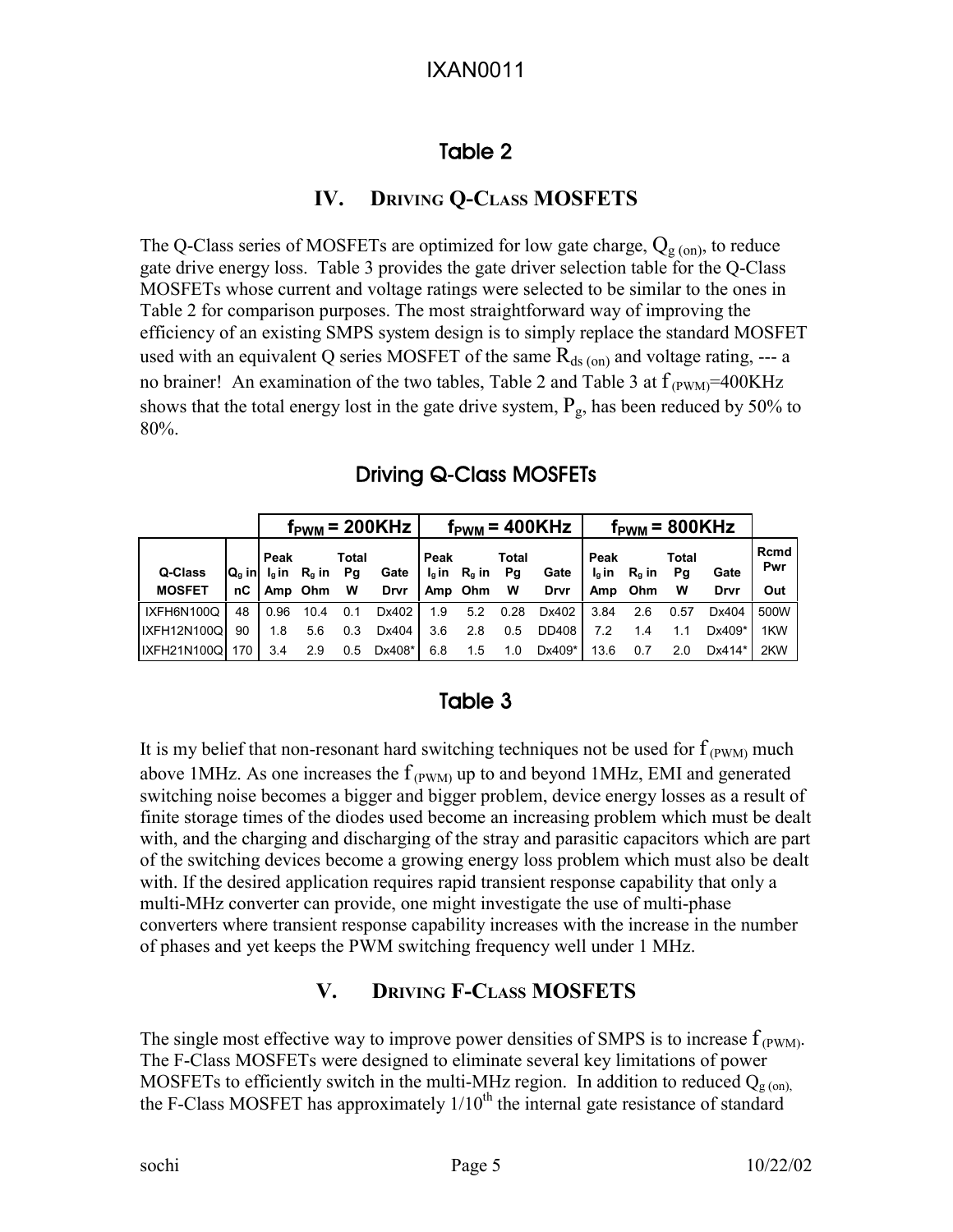# Table 2

## **IV. DRIVING Q-CLASS MOSFETS**

The Q-Class series of MOSFETs are optimized for low gate charge,  $Q_{g (on)}$ , to reduce gate drive energy loss. Table 3 provides the gate driver selection table for the Q-Class MOSFETs whose current and voltage ratings were selected to be similar to the ones in Table 2 for comparison purposes. The most straightforward way of improving the efficiency of an existing SMPS system design is to simply replace the standard MOSFET used with an equivalent Q series MOSFET of the same  $R_{ds (on)}$  and voltage rating, --- a no brainer! An examination of the two tables, Table 2 and Table 3 at  $f_{(PWM)} = 400KHz$ shows that the total energy lost in the gate drive system,  $P_g$ , has been reduced by 50% to 80%.

# Driving Q-Class MOSFETs

|               |     |                                       |      |       | $f_{\text{PWM}}$ = 200KHz | $f_{\rm PWM}$ = 400KHz |                      |       |             | $f_{\text{PWM}}$ = 800KHz |                            |             |          |             |
|---------------|-----|---------------------------------------|------|-------|---------------------------|------------------------|----------------------|-------|-------------|---------------------------|----------------------------|-------------|----------|-------------|
| Q-Class       |     | Peak<br>$Q_q$ in $I_q$ in $R_q$ in Pg |      | Total | Gate                      | Peak                   | $I_q$ in $R_q$ in Pg | Total | Gate        | Peak                      | $I_0$ in R <sub>a</sub> in | Total<br>Pq | Gate     | Rcmd<br>Pwr |
| <b>MOSFET</b> | nC  | Amp Ohm W                             |      |       | Drvr                      | Amp Ohm W              |                      |       | <b>Drvr</b> |                           | Amp Ohm                    | W           | Drvr     | Out         |
| IXFH6N100Q    | 48  | 0.96                                  | 10.4 | 0.1   | Dx402                     | 1.9                    | 5.2                  | 0.28  | Dx402       | 3.84                      | 2.6                        | 0.57        | Dx404    | 500W        |
| IXFH12N100Q   | 90  | 1.8                                   | 5.6  | 0.3   | Dx404                     | 3.6                    | 2.8                  | 0.5   | DD408       | 7.2                       | 1.4                        |             | $Dx409*$ | 1KW         |
| IXFH21N100Q   | 170 | 3.4                                   | 2.9  | 0.5   | Dx408*                    | 6.8                    | 1.5                  | 1.0   | Dx409*      | 13.6                      | 0.7                        | 2.0         | Dx414*   | 2KW         |

# Table 3

It is my belief that non-resonant hard switching techniques not be used for  $f_{(PWM)}$  much above 1MHz. As one increases the  $f_{(PWM)}$  up to and beyond 1MHz, EMI and generated switching noise becomes a bigger and bigger problem, device energy losses as a result of finite storage times of the diodes used become an increasing problem which must be dealt with, and the charging and discharging of the stray and parasitic capacitors which are part of the switching devices become a growing energy loss problem which must also be dealt with. If the desired application requires rapid transient response capability that only a multi-MHz converter can provide, one might investigate the use of multi-phase converters where transient response capability increases with the increase in the number of phases and yet keeps the PWM switching frequency well under 1 MHz.

## **V. DRIVING F-CLASS MOSFETS**

The single most effective way to improve power densities of SMPS is to increase  $f_{(PWM)}$ . The F-Class MOSFETs were designed to eliminate several key limitations of power MOSFETs to efficiently switch in the multi-MHz region. In addition to reduced  $Q_{g (on)}$ the F-Class MOSFET has approximately  $1/10^{th}$  the internal gate resistance of standard